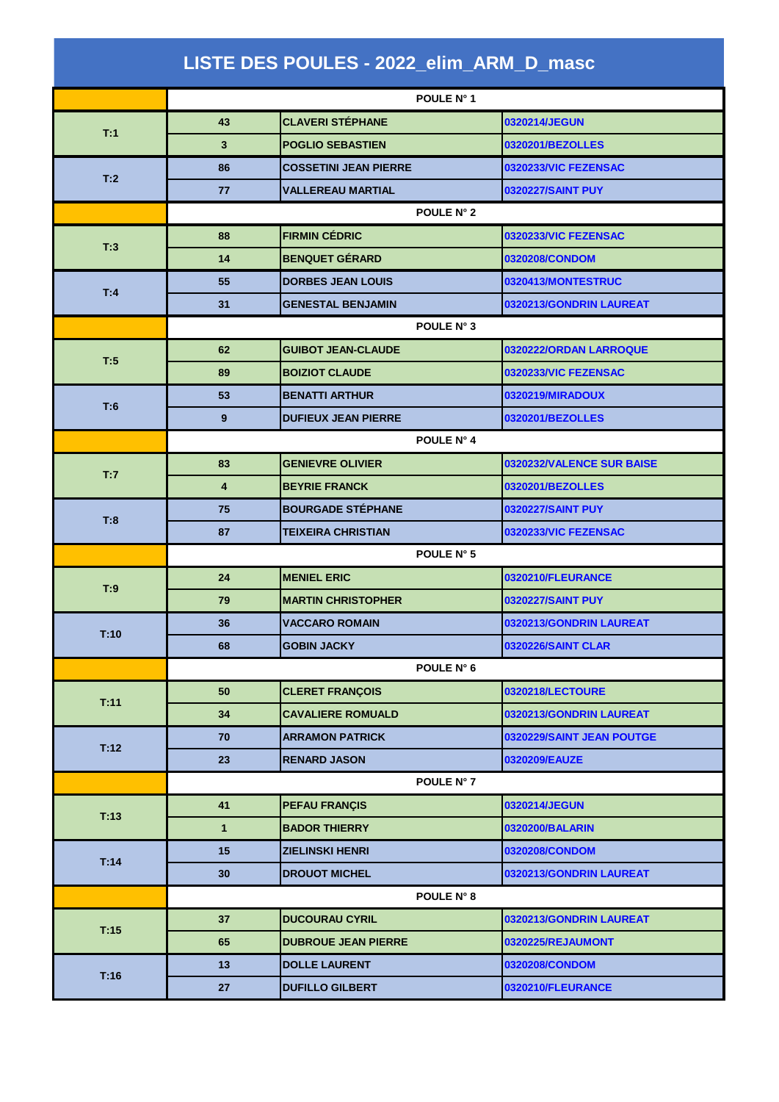| LISTE DES POULES - 2022_elim_ARM_D_masc |                         |                              |                           |  |  |
|-----------------------------------------|-------------------------|------------------------------|---------------------------|--|--|
|                                         |                         | POULE N° 1                   |                           |  |  |
| T:1                                     | 43                      | <b>CLAVERI STÉPHANE</b>      | 0320214/JEGUN             |  |  |
|                                         | 3                       | <b>POGLIO SEBASTIEN</b>      | 0320201/BEZOLLES          |  |  |
|                                         | 86                      | <b>COSSETINI JEAN PIERRE</b> | 0320233/VIC FEZENSAC      |  |  |
| T:2                                     | 77                      | <b>VALLEREAU MARTIAL</b>     | <b>0320227/SAINT PUY</b>  |  |  |
|                                         | POULE N° 2              |                              |                           |  |  |
|                                         | 88                      | <b>FIRMIN CÉDRIC</b>         | 0320233/VIC FEZENSAC      |  |  |
| T:3                                     | 14                      | <b>BENQUET GÉRARD</b>        | 0320208/CONDOM            |  |  |
|                                         | 55                      | <b>DORBES JEAN LOUIS</b>     | 0320413/MONTESTRUC        |  |  |
| T:4                                     | 31                      | <b>GENESTAL BENJAMIN</b>     | 0320213/GONDRIN LAUREAT   |  |  |
|                                         | POULE N° 3              |                              |                           |  |  |
|                                         | 62                      | <b>GUIBOT JEAN-CLAUDE</b>    | 0320222/ORDAN LARROQUE    |  |  |
| T:5                                     | 89                      | <b>BOIZIOT CLAUDE</b>        | 0320233/VIC FEZENSAC      |  |  |
|                                         | 53                      | <b>BENATTI ARTHUR</b>        | 0320219/MIRADOUX          |  |  |
| T:6                                     | 9                       | <b>DUFIEUX JEAN PIERRE</b>   | 0320201/BEZOLLES          |  |  |
|                                         | POULE N° 4              |                              |                           |  |  |
|                                         | 83                      | <b>GENIEVRE OLIVIER</b>      | 0320232/VALENCE SUR BAISE |  |  |
| T:7                                     | $\overline{\mathbf{4}}$ | <b>BEYRIE FRANCK</b>         | 0320201/BEZOLLES          |  |  |
| T:8                                     | 75                      | <b>BOURGADE STÉPHANE</b>     | <b>0320227/SAINT PUY</b>  |  |  |
|                                         | 87                      | <b>TEIXEIRA CHRISTIAN</b>    | 0320233/VIC FEZENSAC      |  |  |
|                                         | POULE N° 5              |                              |                           |  |  |
| T:9                                     | 24                      | <b>MENIEL ERIC</b>           | 0320210/FLEURANCE         |  |  |
|                                         | 79                      | <b>MARTIN CHRISTOPHER</b>    | 0320227/SAINT PUY         |  |  |
| T:10                                    | 36                      | <b>VACCARO ROMAIN</b>        | 0320213/GONDRIN LAUREAT   |  |  |
|                                         | 68                      | <b>GOBIN JACKY</b>           | <b>0320226/SAINT CLAR</b> |  |  |
|                                         |                         | POULE N° 6                   |                           |  |  |
| T:11                                    | 50                      | <b>CLERET FRANÇOIS</b>       | 0320218/LECTOURE          |  |  |
|                                         | 34                      | <b>CAVALIERE ROMUALD</b>     | 0320213/GONDRIN LAUREAT   |  |  |
| T:12                                    | 70                      | <b>ARRAMON PATRICK</b>       | 0320229/SAINT JEAN POUTGE |  |  |
|                                         | 23                      | <b>RENARD JASON</b>          | 0320209/EAUZE             |  |  |
|                                         |                         | POULE N° 7                   |                           |  |  |
| T:13                                    | 41                      | <b>PEFAU FRANÇIS</b>         | 0320214/JEGUN             |  |  |
|                                         | $\mathbf{1}$            | <b>BADOR THIERRY</b>         | 0320200/BALARIN           |  |  |
| T:14                                    | 15                      | <b>ZIELINSKI HENRI</b>       | 0320208/CONDOM            |  |  |
|                                         | 30                      | <b>DROUOT MICHEL</b>         | 0320213/GONDRIN LAUREAT   |  |  |
|                                         |                         | POULE N° 8                   |                           |  |  |
| T:15                                    | 37                      | <b>DUCOURAU CYRIL</b>        | 0320213/GONDRIN LAUREAT   |  |  |
|                                         | 65                      | <b>DUBROUE JEAN PIERRE</b>   | 0320225/REJAUMONT         |  |  |
| T:16                                    | 13                      | <b>DOLLE LAURENT</b>         | 0320208/CONDOM            |  |  |
|                                         | 27                      | <b>DUFILLO GILBERT</b>       | 0320210/FLEURANCE         |  |  |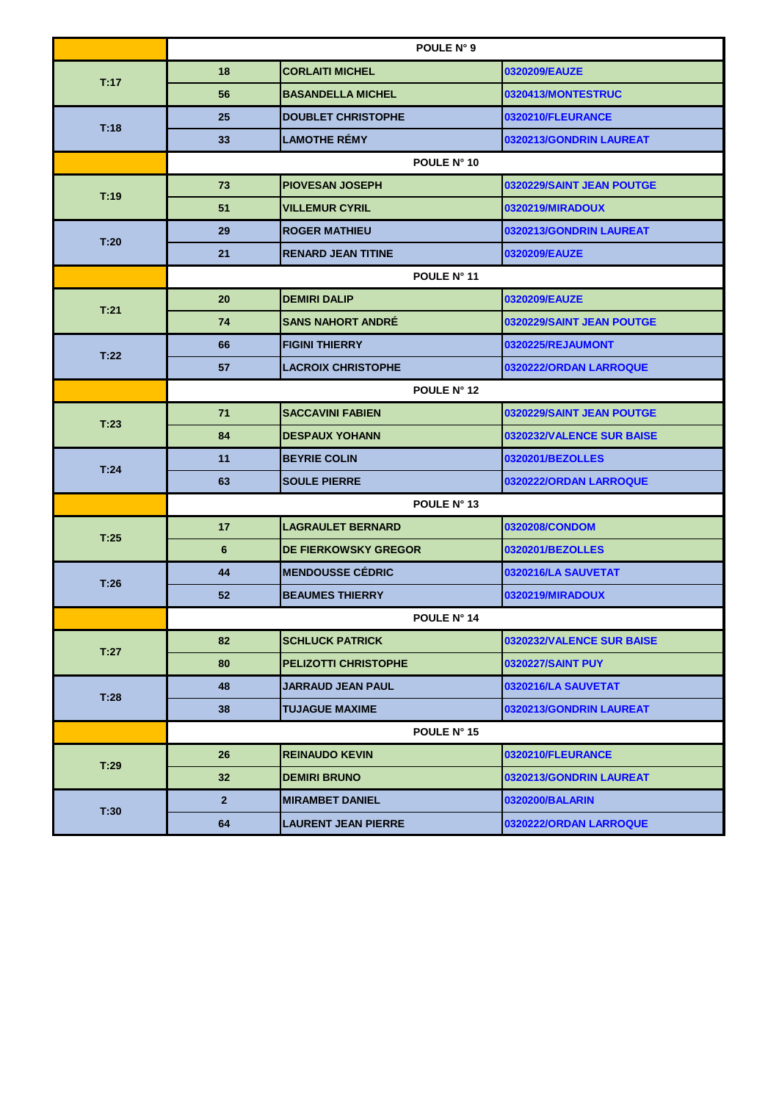| 0320209/EAUZE<br>18<br><b>CORLAITI MICHEL</b><br>T:17<br>56<br><b>BASANDELLA MICHEL</b><br>0320413/MONTESTRUC<br>25<br><b>DOUBLET CHRISTOPHE</b><br>0320210/FLEURANCE<br>T:18<br><b>LAMOTHE RÉMY</b><br>33<br>0320213/GONDRIN LAUREAT<br>POULE N° 10<br><b>PIOVESAN JOSEPH</b><br>73<br>0320229/SAINT JEAN POUTGE<br>T:19<br>51<br><b>VILLEMUR CYRIL</b><br>0320219/MIRADOUX<br><b>ROGER MATHIEU</b><br>29<br>0320213/GONDRIN LAUREAT<br>T:20<br>21<br><b>RENARD JEAN TITINE</b><br>0320209/EAUZE<br>POULE N° 11<br>20<br><b>DEMIRI DALIP</b><br>0320209/EAUZE<br>T.21<br><b>SANS NAHORT ANDRE</b><br>74<br>0320229/SAINT JEAN POUTGE<br>66<br><b>FIGINI THIERRY</b><br>0320225/REJAUMONT<br>T:22<br>57<br><b>LACROIX CHRISTOPHE</b><br>0320222/ORDAN LARROQUE<br><b>POULE N° 12</b><br><b>SACCAVINI FABIEN</b><br>71<br>0320229/SAINT JEAN POUTGE<br>T:23<br>84<br><b>DESPAUX YOHANN</b><br>0320232/VALENCE SUR BAISE<br>11<br><b>BEYRIE COLIN</b><br>0320201/BEZOLLES<br>T.24<br>63<br><b>SOULE PIERRE</b><br>0320222/ORDAN LARROQUE<br>POULE N° 13<br>17<br>0320208/CONDOM<br><b>LAGRAULET BERNARD</b><br>T:25<br>6<br><b>DE FIERKOWSKY GREGOR</b><br>0320201/BEZOLLES<br><b>MENDOUSSE CÉDRIC</b><br>44<br>0320216/LA SAUVETAT<br>T:26<br>52<br><b>BEAUMES THIERRY</b><br>0320219/MIRADOUX<br><b>POULE N° 14</b><br>82<br><b>SCHLUCK PATRICK</b><br>0320232/VALENCE SUR BAISE<br>T:27<br>80<br><b>PELIZOTTI CHRISTOPHE</b><br><b>0320227/SAINT PUY</b><br>48<br>JARRAUD JEAN PAUL<br>0320216/LA SAUVETAT<br>T:28<br>38<br><b>TUJAGUE MAXIME</b><br>0320213/GONDRIN LAUREAT<br>POULE N° 15<br>26<br>0320210/FLEURANCE<br><b>REINAUDO KEVIN</b><br>T:29<br>32 <sub>2</sub><br><b>DEMIRI BRUNO</b><br>0320213/GONDRIN LAUREAT<br>$\overline{2}$<br>0320200/BALARIN<br><b>MIRAMBET DANIEL</b><br>T:30 |  | POULE N° 9 |  |  |  |  |
|------------------------------------------------------------------------------------------------------------------------------------------------------------------------------------------------------------------------------------------------------------------------------------------------------------------------------------------------------------------------------------------------------------------------------------------------------------------------------------------------------------------------------------------------------------------------------------------------------------------------------------------------------------------------------------------------------------------------------------------------------------------------------------------------------------------------------------------------------------------------------------------------------------------------------------------------------------------------------------------------------------------------------------------------------------------------------------------------------------------------------------------------------------------------------------------------------------------------------------------------------------------------------------------------------------------------------------------------------------------------------------------------------------------------------------------------------------------------------------------------------------------------------------------------------------------------------------------------------------------------------------------------------------------------------------------------------------------------------------------------------------------------------------------------------|--|------------|--|--|--|--|
|                                                                                                                                                                                                                                                                                                                                                                                                                                                                                                                                                                                                                                                                                                                                                                                                                                                                                                                                                                                                                                                                                                                                                                                                                                                                                                                                                                                                                                                                                                                                                                                                                                                                                                                                                                                                      |  |            |  |  |  |  |
|                                                                                                                                                                                                                                                                                                                                                                                                                                                                                                                                                                                                                                                                                                                                                                                                                                                                                                                                                                                                                                                                                                                                                                                                                                                                                                                                                                                                                                                                                                                                                                                                                                                                                                                                                                                                      |  |            |  |  |  |  |
|                                                                                                                                                                                                                                                                                                                                                                                                                                                                                                                                                                                                                                                                                                                                                                                                                                                                                                                                                                                                                                                                                                                                                                                                                                                                                                                                                                                                                                                                                                                                                                                                                                                                                                                                                                                                      |  |            |  |  |  |  |
|                                                                                                                                                                                                                                                                                                                                                                                                                                                                                                                                                                                                                                                                                                                                                                                                                                                                                                                                                                                                                                                                                                                                                                                                                                                                                                                                                                                                                                                                                                                                                                                                                                                                                                                                                                                                      |  |            |  |  |  |  |
|                                                                                                                                                                                                                                                                                                                                                                                                                                                                                                                                                                                                                                                                                                                                                                                                                                                                                                                                                                                                                                                                                                                                                                                                                                                                                                                                                                                                                                                                                                                                                                                                                                                                                                                                                                                                      |  |            |  |  |  |  |
|                                                                                                                                                                                                                                                                                                                                                                                                                                                                                                                                                                                                                                                                                                                                                                                                                                                                                                                                                                                                                                                                                                                                                                                                                                                                                                                                                                                                                                                                                                                                                                                                                                                                                                                                                                                                      |  |            |  |  |  |  |
|                                                                                                                                                                                                                                                                                                                                                                                                                                                                                                                                                                                                                                                                                                                                                                                                                                                                                                                                                                                                                                                                                                                                                                                                                                                                                                                                                                                                                                                                                                                                                                                                                                                                                                                                                                                                      |  |            |  |  |  |  |
|                                                                                                                                                                                                                                                                                                                                                                                                                                                                                                                                                                                                                                                                                                                                                                                                                                                                                                                                                                                                                                                                                                                                                                                                                                                                                                                                                                                                                                                                                                                                                                                                                                                                                                                                                                                                      |  |            |  |  |  |  |
|                                                                                                                                                                                                                                                                                                                                                                                                                                                                                                                                                                                                                                                                                                                                                                                                                                                                                                                                                                                                                                                                                                                                                                                                                                                                                                                                                                                                                                                                                                                                                                                                                                                                                                                                                                                                      |  |            |  |  |  |  |
|                                                                                                                                                                                                                                                                                                                                                                                                                                                                                                                                                                                                                                                                                                                                                                                                                                                                                                                                                                                                                                                                                                                                                                                                                                                                                                                                                                                                                                                                                                                                                                                                                                                                                                                                                                                                      |  |            |  |  |  |  |
|                                                                                                                                                                                                                                                                                                                                                                                                                                                                                                                                                                                                                                                                                                                                                                                                                                                                                                                                                                                                                                                                                                                                                                                                                                                                                                                                                                                                                                                                                                                                                                                                                                                                                                                                                                                                      |  |            |  |  |  |  |
|                                                                                                                                                                                                                                                                                                                                                                                                                                                                                                                                                                                                                                                                                                                                                                                                                                                                                                                                                                                                                                                                                                                                                                                                                                                                                                                                                                                                                                                                                                                                                                                                                                                                                                                                                                                                      |  |            |  |  |  |  |
|                                                                                                                                                                                                                                                                                                                                                                                                                                                                                                                                                                                                                                                                                                                                                                                                                                                                                                                                                                                                                                                                                                                                                                                                                                                                                                                                                                                                                                                                                                                                                                                                                                                                                                                                                                                                      |  |            |  |  |  |  |
|                                                                                                                                                                                                                                                                                                                                                                                                                                                                                                                                                                                                                                                                                                                                                                                                                                                                                                                                                                                                                                                                                                                                                                                                                                                                                                                                                                                                                                                                                                                                                                                                                                                                                                                                                                                                      |  |            |  |  |  |  |
|                                                                                                                                                                                                                                                                                                                                                                                                                                                                                                                                                                                                                                                                                                                                                                                                                                                                                                                                                                                                                                                                                                                                                                                                                                                                                                                                                                                                                                                                                                                                                                                                                                                                                                                                                                                                      |  |            |  |  |  |  |
|                                                                                                                                                                                                                                                                                                                                                                                                                                                                                                                                                                                                                                                                                                                                                                                                                                                                                                                                                                                                                                                                                                                                                                                                                                                                                                                                                                                                                                                                                                                                                                                                                                                                                                                                                                                                      |  |            |  |  |  |  |
|                                                                                                                                                                                                                                                                                                                                                                                                                                                                                                                                                                                                                                                                                                                                                                                                                                                                                                                                                                                                                                                                                                                                                                                                                                                                                                                                                                                                                                                                                                                                                                                                                                                                                                                                                                                                      |  |            |  |  |  |  |
|                                                                                                                                                                                                                                                                                                                                                                                                                                                                                                                                                                                                                                                                                                                                                                                                                                                                                                                                                                                                                                                                                                                                                                                                                                                                                                                                                                                                                                                                                                                                                                                                                                                                                                                                                                                                      |  |            |  |  |  |  |
|                                                                                                                                                                                                                                                                                                                                                                                                                                                                                                                                                                                                                                                                                                                                                                                                                                                                                                                                                                                                                                                                                                                                                                                                                                                                                                                                                                                                                                                                                                                                                                                                                                                                                                                                                                                                      |  |            |  |  |  |  |
|                                                                                                                                                                                                                                                                                                                                                                                                                                                                                                                                                                                                                                                                                                                                                                                                                                                                                                                                                                                                                                                                                                                                                                                                                                                                                                                                                                                                                                                                                                                                                                                                                                                                                                                                                                                                      |  |            |  |  |  |  |
|                                                                                                                                                                                                                                                                                                                                                                                                                                                                                                                                                                                                                                                                                                                                                                                                                                                                                                                                                                                                                                                                                                                                                                                                                                                                                                                                                                                                                                                                                                                                                                                                                                                                                                                                                                                                      |  |            |  |  |  |  |
|                                                                                                                                                                                                                                                                                                                                                                                                                                                                                                                                                                                                                                                                                                                                                                                                                                                                                                                                                                                                                                                                                                                                                                                                                                                                                                                                                                                                                                                                                                                                                                                                                                                                                                                                                                                                      |  |            |  |  |  |  |
|                                                                                                                                                                                                                                                                                                                                                                                                                                                                                                                                                                                                                                                                                                                                                                                                                                                                                                                                                                                                                                                                                                                                                                                                                                                                                                                                                                                                                                                                                                                                                                                                                                                                                                                                                                                                      |  |            |  |  |  |  |
|                                                                                                                                                                                                                                                                                                                                                                                                                                                                                                                                                                                                                                                                                                                                                                                                                                                                                                                                                                                                                                                                                                                                                                                                                                                                                                                                                                                                                                                                                                                                                                                                                                                                                                                                                                                                      |  |            |  |  |  |  |
|                                                                                                                                                                                                                                                                                                                                                                                                                                                                                                                                                                                                                                                                                                                                                                                                                                                                                                                                                                                                                                                                                                                                                                                                                                                                                                                                                                                                                                                                                                                                                                                                                                                                                                                                                                                                      |  |            |  |  |  |  |
|                                                                                                                                                                                                                                                                                                                                                                                                                                                                                                                                                                                                                                                                                                                                                                                                                                                                                                                                                                                                                                                                                                                                                                                                                                                                                                                                                                                                                                                                                                                                                                                                                                                                                                                                                                                                      |  |            |  |  |  |  |
|                                                                                                                                                                                                                                                                                                                                                                                                                                                                                                                                                                                                                                                                                                                                                                                                                                                                                                                                                                                                                                                                                                                                                                                                                                                                                                                                                                                                                                                                                                                                                                                                                                                                                                                                                                                                      |  |            |  |  |  |  |
|                                                                                                                                                                                                                                                                                                                                                                                                                                                                                                                                                                                                                                                                                                                                                                                                                                                                                                                                                                                                                                                                                                                                                                                                                                                                                                                                                                                                                                                                                                                                                                                                                                                                                                                                                                                                      |  |            |  |  |  |  |
|                                                                                                                                                                                                                                                                                                                                                                                                                                                                                                                                                                                                                                                                                                                                                                                                                                                                                                                                                                                                                                                                                                                                                                                                                                                                                                                                                                                                                                                                                                                                                                                                                                                                                                                                                                                                      |  |            |  |  |  |  |
|                                                                                                                                                                                                                                                                                                                                                                                                                                                                                                                                                                                                                                                                                                                                                                                                                                                                                                                                                                                                                                                                                                                                                                                                                                                                                                                                                                                                                                                                                                                                                                                                                                                                                                                                                                                                      |  |            |  |  |  |  |
|                                                                                                                                                                                                                                                                                                                                                                                                                                                                                                                                                                                                                                                                                                                                                                                                                                                                                                                                                                                                                                                                                                                                                                                                                                                                                                                                                                                                                                                                                                                                                                                                                                                                                                                                                                                                      |  |            |  |  |  |  |
|                                                                                                                                                                                                                                                                                                                                                                                                                                                                                                                                                                                                                                                                                                                                                                                                                                                                                                                                                                                                                                                                                                                                                                                                                                                                                                                                                                                                                                                                                                                                                                                                                                                                                                                                                                                                      |  |            |  |  |  |  |
|                                                                                                                                                                                                                                                                                                                                                                                                                                                                                                                                                                                                                                                                                                                                                                                                                                                                                                                                                                                                                                                                                                                                                                                                                                                                                                                                                                                                                                                                                                                                                                                                                                                                                                                                                                                                      |  |            |  |  |  |  |
| 64<br><b>LAURENT JEAN PIERRE</b><br>0320222/ORDAN LARROQUE                                                                                                                                                                                                                                                                                                                                                                                                                                                                                                                                                                                                                                                                                                                                                                                                                                                                                                                                                                                                                                                                                                                                                                                                                                                                                                                                                                                                                                                                                                                                                                                                                                                                                                                                           |  |            |  |  |  |  |